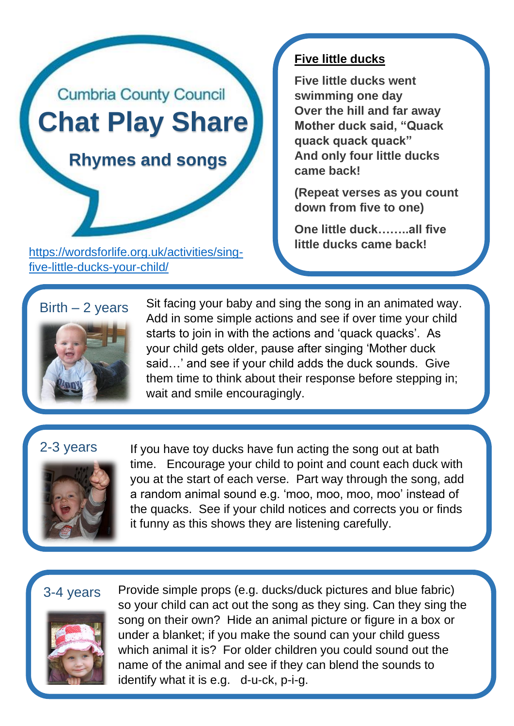

**little ducks came back!** [https://wordsforlife.org.uk/activities/sing](https://wordsforlife.org.uk/activities/sing-five-little-ducks-your-child/)[five-little-ducks-your-child/](https://wordsforlife.org.uk/activities/sing-five-little-ducks-your-child/)

### **Five little ducks**

**Five little ducks went swimming one day Over the hill and far away Mother duck said, "Quack quack quack quack" And only four little ducks came back!**

**(Repeat verses as you count down from five to one)**

**One little duck……..all five** 

# $Birth - 2 years$



Sit facing your baby and sing the song in an animated way. Add in some simple actions and see if over time your child starts to join in with the actions and 'quack quacks'. As your child gets older, pause after singing 'Mother duck said…' and see if your child adds the duck sounds. Give them time to think about their response before stepping in; wait and smile encouragingly.

## 2-3 years



If you have toy ducks have fun acting the song out at bath time. Encourage your child to point and count each duck with you at the start of each verse. Part way through the song, add a random animal sound e.g. 'moo, moo, moo, moo' instead of the quacks. See if your child notices and corrects you or finds it funny as this shows they are listening carefully.

### 3-4 years



Provide simple props (e.g. ducks/duck pictures and blue fabric) so your child can act out the song as they sing. Can they sing the song on their own? Hide an animal picture or figure in a box or under a blanket; if you make the sound can your child guess which animal it is? For older children you could sound out the name of the animal and see if they can blend the sounds to identify what it is e.g. d-u-ck, p-i-g.